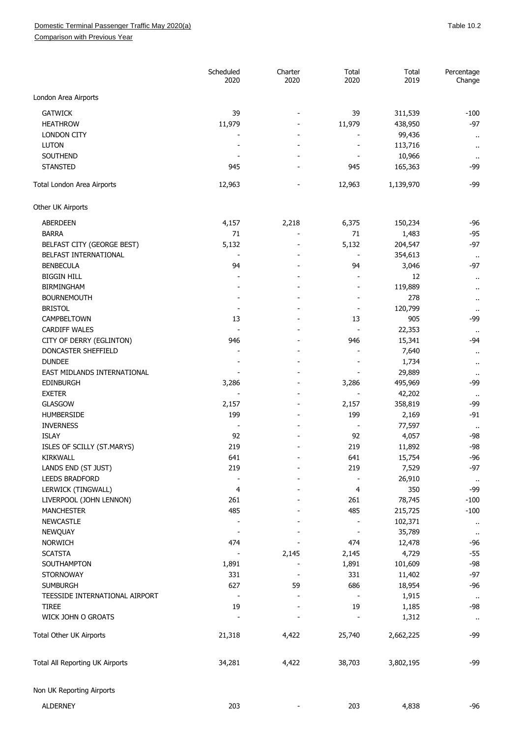Comparison with Previous Year

|                                 | Scheduled<br>2020 | Charter<br>2020 | Total<br>2020 | Total<br>2019 | Percentage<br>Change                         |
|---------------------------------|-------------------|-----------------|---------------|---------------|----------------------------------------------|
| London Area Airports            |                   |                 |               |               |                                              |
| <b>GATWICK</b>                  | 39                |                 | 39            | 311,539       | -100                                         |
| <b>HEATHROW</b>                 | 11,979            |                 | 11,979        | 438,950       | $-97$                                        |
| <b>LONDON CITY</b>              |                   |                 |               | 99,436        |                                              |
| <b>LUTON</b>                    |                   |                 |               | 113,716       | $\ddot{\phantom{a}}$<br>$\ddot{\phantom{a}}$ |
| SOUTHEND                        |                   |                 |               | 10,966        |                                              |
| <b>STANSTED</b>                 | 945               |                 | 945           | 165,363       | $\cdot$ .<br>-99                             |
| Total London Area Airports      | 12,963            |                 | 12,963        | 1,139,970     | -99                                          |
|                                 |                   |                 |               |               |                                              |
| Other UK Airports               |                   |                 |               |               |                                              |
| ABERDEEN                        | 4,157             | 2,218           | 6,375         | 150,234       | $-96$                                        |
| <b>BARRA</b>                    | 71                |                 | 71            | 1,483         | $-95$                                        |
| BELFAST CITY (GEORGE BEST)      | 5,132             |                 | 5,132         | 204,547       | $-97$                                        |
| BELFAST INTERNATIONAL           |                   |                 |               | 354,613       | $\sim$                                       |
| <b>BENBECULA</b>                | 94                |                 | 94            | 3,046         | $-97$                                        |
| <b>BIGGIN HILL</b>              |                   |                 |               | 12            | $\cdot$ .                                    |
| <b>BIRMINGHAM</b>               |                   |                 |               | 119,889       | $\cdots$                                     |
| <b>BOURNEMOUTH</b>              |                   |                 |               | 278           | $\cdot$ .                                    |
| <b>BRISTOL</b>                  |                   |                 |               | 120,799       |                                              |
| CAMPBELTOWN                     | 13                |                 | 13            | 905           | -99                                          |
| <b>CARDIFF WALES</b>            |                   |                 |               | 22,353        |                                              |
| CITY OF DERRY (EGLINTON)        | 946               |                 | 946           | 15,341        | $-94$                                        |
| DONCASTER SHEFFIELD             |                   |                 |               | 7,640         | $\cdot$ .                                    |
| <b>DUNDEE</b>                   |                   |                 |               | 1,734         | $\sim$                                       |
| EAST MIDLANDS INTERNATIONAL     |                   |                 |               | 29,889        |                                              |
| <b>EDINBURGH</b>                | 3,286             |                 | 3,286         | 495,969       | -99                                          |
| <b>EXETER</b>                   |                   |                 |               | 42,202        |                                              |
| GLASGOW                         | 2,157             |                 | 2,157         | 358,819       | -99                                          |
| <b>HUMBERSIDE</b>               | 199               |                 | 199           | 2,169         | $-91$                                        |
| <b>INVERNESS</b>                |                   |                 |               | 77,597        |                                              |
| <b>ISLAY</b>                    | 92                |                 | 92            | 4,057         | -98                                          |
| ISLES OF SCILLY (ST.MARYS)      | 219               |                 | 219           | 11,892        | $-98$                                        |
|                                 |                   |                 |               |               | $-96$                                        |
| KIRKWALL                        | 641<br>219        |                 | 641           | 15,754        | $-97$                                        |
| LANDS END (ST JUST)             |                   |                 | 219           | 7,529         |                                              |
| <b>LEEDS BRADFORD</b>           |                   |                 |               | 26,910        | $\mathcal{H}$                                |
| LERWICK (TINGWALL)              | 4                 |                 | 4             | 350           | -99                                          |
| LIVERPOOL (JOHN LENNON)         | 261               |                 | 261           | 78,745        | $-100$                                       |
| <b>MANCHESTER</b>               | 485               |                 | 485           | 215,725       | $-100$                                       |
| <b>NEWCASTLE</b>                |                   |                 |               | 102,371       | $\alpha$                                     |
| NEWQUAY                         |                   |                 |               | 35,789        | $\cdot$ .                                    |
| <b>NORWICH</b>                  | 474               |                 | 474           | 12,478        | -96                                          |
| <b>SCATSTA</b>                  |                   | 2,145           | 2,145         | 4,729         | $-55$                                        |
| SOUTHAMPTON                     | 1,891             |                 | 1,891         | 101,609       | -98                                          |
| <b>STORNOWAY</b>                | 331               |                 | 331           | 11,402        | $-97$                                        |
| <b>SUMBURGH</b>                 | 627               | 59              | 686           | 18,954        | -96                                          |
| TEESSIDE INTERNATIONAL AIRPORT  |                   |                 |               | 1,915         | $\bullet$ .                                  |
| <b>TIREE</b>                    | 19                |                 | 19            | 1,185         | -98                                          |
| WICK JOHN O GROATS              |                   |                 |               | 1,312         | $\cdot$                                      |
| Total Other UK Airports         | 21,318            | 4,422           | 25,740        | 2,662,225     | -99                                          |
| Total All Reporting UK Airports | 34,281            | 4,422           | 38,703        | 3,802,195     | -99                                          |
| Non UK Reporting Airports       |                   |                 |               |               |                                              |
| <b>ALDERNEY</b>                 | 203               |                 | 203           | 4,838         | $-96$                                        |